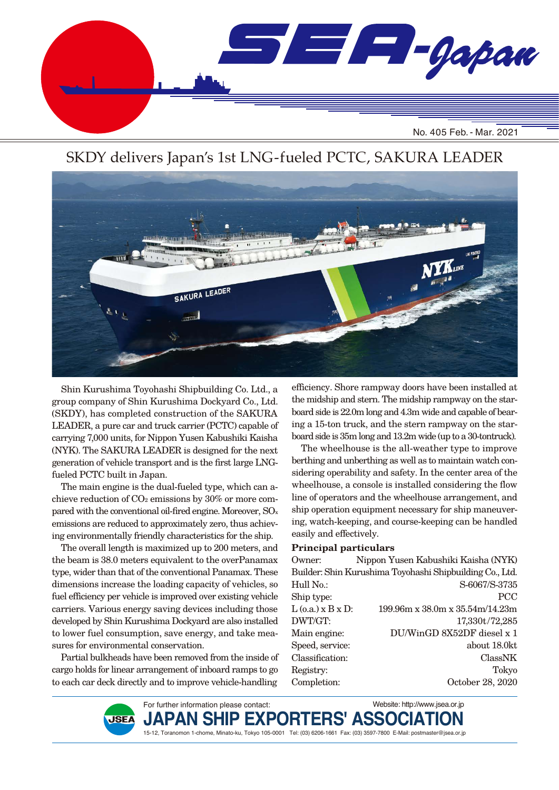

## SKDY delivers Japan's 1st LNG-fueled PCTC, SAKURA LEADER



Shin Kurushima Toyohashi Shipbuilding Co. Ltd., a group company of Shin Kurushima Dockyard Co., Ltd. (SKDY), has completed construction of the SAKURA LEADER, a pure car and truck carrier (PCTC) capable of carrying 7,000 units, for Nippon Yusen Kabushiki Kaisha (NYK). The SAKURA LEADER is designed for the next generation of vehicle transport and is the first large LNGfueled PCTC built in Japan.

The main engine is the dual-fueled type, which can achieve reduction of CO2 emissions by 30% or more compared with the conventional oil-fired engine. Moreover,  $\rm{SO}_{x}$ emissions are reduced to approximately zero, thus achieving environmentally friendly characteristics for the ship.

The overall length is maximized up to 200 meters, and the beam is 38.0 meters equivalent to the overPanamax type, wider than that of the conventional Panamax. These dimensions increase the loading capacity of vehicles, so fuel efficiency per vehicle is improved over existing vehicle carriers. Various energy saving devices including those developed by Shin Kurushima Dockyard are also installed to lower fuel consumption, save energy, and take measures for environmental conservation.

Partial bulkheads have been removed from the inside of cargo holds for linear arrangement of inboard ramps to go to each car deck directly and to improve vehicle-handling

For further information please contact:

**JAPAN SHIP EXPORTERS' ASSOCIATION** 

15-12, Toranomon 1-chome, Minato-ku, Tokyo 105-0001 Tel: (03) 6206-1661 Fax: (03) 3597-7800 E-Mail: postmaster@jsea.or.jp

efficiency. Shore rampway doors have been installed at the midship and stern. The midship rampway on the starboard side is 22.0m long and 4.3m wide and capable of bearing a 15-ton truck, and the stern rampway on the starboard side is 35m long and 13.2m wide (up to a 30-tontruck).

The wheelhouse is the all-weather type to improve berthing and unberthing as well as to maintain watch considering operability and safety. In the center area of the wheelhouse, a console is installed considering the flow line of operators and the wheelhouse arrangement, and ship operation equipment necessary for ship maneuvering, watch-keeping, and course-keeping can be handled easily and effectively.

#### **Principal particulars**

| Owner:                 | Nippon Yusen Kabushiki Kaisha (NYK)                      |
|------------------------|----------------------------------------------------------|
|                        | Builder: Shin Kurushima Toyohashi Shipbuilding Co., Ltd. |
| Hull No.:              | S-6067/S-3735                                            |
| Ship type:             | <b>PCC</b>                                               |
| $L$ (0.a.) $x B x D$ : | $199.96m \times 38.0m \times 35.54m/14.23m$              |
| DWT/GT:                | 17,330t/72,285                                           |
| Main engine:           | DU/WinGD 8X52DF diesel x 1                               |
| Speed, service:        | about 18.0kt                                             |
| Classification:        | ClassNK                                                  |
| Registry:              | Tokyo                                                    |
| Completion:            | October 28, 2020                                         |
|                        |                                                          |

**JSEA** 

Website: http://www.jsea.or.jp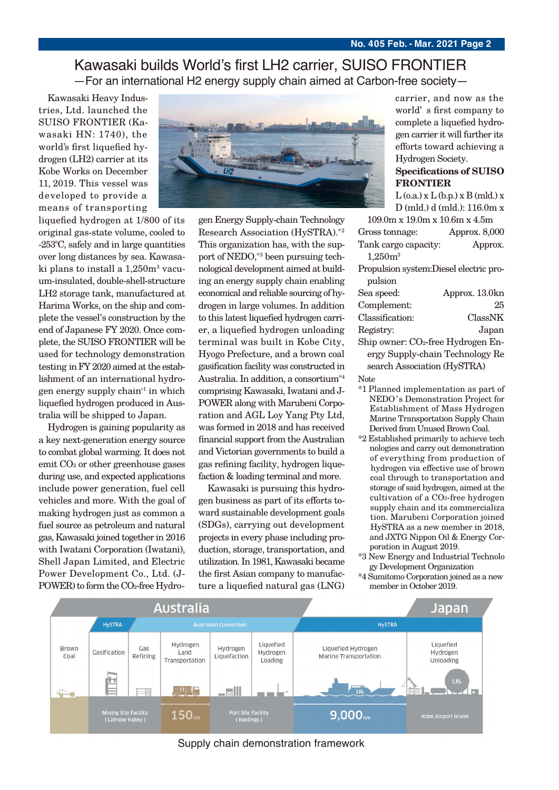### Kawasaki builds World's first LH2 carrier, SUISO FRONTIER —For an international H2 energy supply chain aimed at Carbon-free society—

Kawasaki Heavy Industries, Ltd. launched the SUISO FRONTIER (Kawasaki HN: 1740), the world's first liquefied hydrogen (LH2) carrier at its Kobe Works on December 11, 2019. This vessel was developed to provide a means of transporting

liquefied hydrogen at 1/800 of its original gas-state volume, cooled to -253°C, safely and in large quantities over long distances by sea. Kawasaki plans to install a 1,250m<sup>3</sup> vacuum-insulated, double-shell-structure LH2 storage tank, manufactured at Harima Works, on the ship and complete the vessel's construction by the end of Japanese FY 2020. Once complete, the SUISO FRONTIER will be used for technology demonstration testing in FY 2020 aimed at the establishment of an international hydrogen energy supply chain\*1 in which liquefied hydrogen produced in Australia will be shipped to Japan.

Hydrogen is gaining popularity as a key next-generation energy source to combat global warming. It does not emit CO2 or other greenhouse gases during use, and expected applications include power generation, fuel cell vehicles and more. With the goal of making hydrogen just as common a fuel source as petroleum and natural gas, Kawasaki joined together in 2016 with Iwatani Corporation (Iwatani), Shell Japan Limited, and Electric Power Development Co., Ltd. (J-POWER) to form the CO2-free Hydro-



gen Energy Supply-chain Technology Research Association (HySTRA).\*2 This organization has, with the support of NEDO,\*3 been pursuing technological development aimed at building an energy supply chain enabling economical and reliable sourcing of hydrogen in large volumes. In addition to this latest liquefied hydrogen carrier, a liquefied hydrogen unloading terminal was built in Kobe City, Hyogo Prefecture, and a brown coal gasification facility was constructed in Australia. In addition, a consortium\*4 comprising Kawasaki, Iwatani and J-POWER along with Marubeni Corporation and AGL Loy Yang Pty Ltd, was formed in 2018 and has received financial support from the Australian and Victorian governments to build a gas refining facility, hydrogen liquefaction & loading terminal and more.

Kawasaki is pursuing this hydrogen business as part of its efforts toward sustainable development goals (SDGs), carrying out development projects in every phase including production, storage, transportation, and utilization. In 1981, Kawasaki became the first Asian company to manufacture a liquefied natural gas (LNG)

carrier, and now as the world's first company to complete a liquefied hydrogen carrier it will further its efforts toward achieving a Hydrogen Society.

#### **Specifications of SUISO FRONTIER**

 $L$  (o.a.)  $x L$  (b.p.)  $x B$  (mld.)  $x$ D (mld.) d (mld.): 116.0m x 109.0m x 19.0m x 10.6m x 4.5m

| 109.0111 A 19.0111 A 10.0111 A 4.0111 |               |
|---------------------------------------|---------------|
| Gross tonnage:                        | Approx. 8,000 |
| Tank cargo capacity:                  | Approx.       |
| $1,250m^3$                            |               |

Propulsion system:Diesel electric propulsion

| Sea speed:      | Approx. 13.0kn |
|-----------------|----------------|
| Complement:     | 25             |
| Classification: | ClassNK        |
| Registry:       | Japan          |

Ship owner: CO2-free Hydrogen Energy Supply-chain Technology Re search Association (HySTRA)

Note

- \*1 Planned implementation as part of NEDO's Demonstration Project for Establishment of Mass Hydrogen Marine Transportation Supply Chain Derived from Unused Brown Coal.
- \*2 Established primarily to achieve tech nologies and carry out demonstration of everything from production of hydrogen via effective use of brown coal through to transportation and storage of said hydrogen, aimed at the cultivation of a CO2-free hydrogen supply chain and its commercializa tion. Marubeni Corporation joined HySTRA as a new member in 2018, and JXTG Nippon Oil & Energy Cor- poration in August 2019.
- \*3 New Energy and Industrial Technolo gy Development Organization
- \*4 Sumitomo Corporation joined as a new member in October 2019.



Supply chain demonstration framework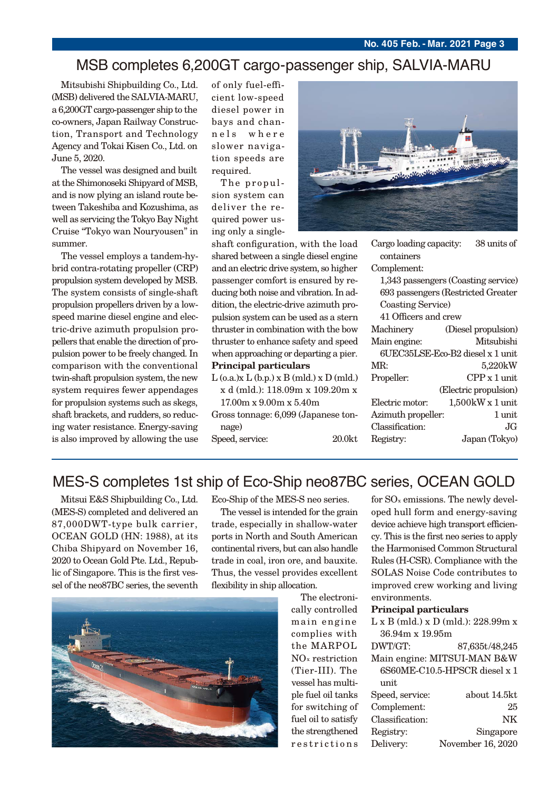## MSB completes 6,200GT cargo-passenger ship, SALVIA-MARU

Mitsubishi Shipbuilding Co., Ltd. (MSB) delivered the SALVIA-MARU, a 6,200GT cargo-passenger ship to the co-owners, Japan Railway Construction, Transport and Technology Agency and Tokai Kisen Co., Ltd. on June 5, 2020.

The vessel was designed and built at the Shimonoseki Shipyard of MSB, and is now plying an island route between Takeshiba and Kozushima, as well as servicing the Tokyo Bay Night Cruise "Tokyo wan Nouryousen" in summer.

The vessel employs a tandem-hybrid contra-rotating propeller (CRP) propulsion system developed by MSB. The system consists of single-shaft propulsion propellers driven by a lowspeed marine diesel engine and electric-drive azimuth propulsion propellers that enable the direction of propulsion power to be freely changed. In comparison with the conventional twin-shaft propulsion system, the new system requires fewer appendages for propulsion systems such as skegs, shaft brackets, and rudders, so reducing water resistance. Energy-saving is also improved by allowing the use of only fuel-efficient low-speed diesel power in bays and channels where slower navigation speeds are required.

The propulsion system can deliver the required power using only a single-



**Principal particulars** shaft configuration, with the load shared between a single diesel engine and an electric drive system, so higher passenger comfort is ensured by reducing both noise and vibration. In addition, the electric-drive azimuth propulsion system can be used as a stern thruster in combination with the bow thruster to enhance safety and speed when approaching or departing a pier.

- $L$  (o.a.) $x L$  (b.p.)  $x B$  (mld.)  $x D$  (mld.) x d (mld.): 118.09m x 109.20m x
	- 17.00m x 9.00m x 5.40m
- Gross tonnage: 6,099 (Japanese tonnage)

Speed, service: 20.0kt

| containers                          |                       |  |
|-------------------------------------|-----------------------|--|
| Complement:                         |                       |  |
| 1,343 passengers (Coasting service) |                       |  |
| 693 passengers (Restricted Greater  |                       |  |
| <b>Coasting Service</b> )           |                       |  |
| 41 Officers and crew                |                       |  |
| Machinery                           | (Diesel propulsion)   |  |
| Main engine:                        | Mitsubishi            |  |
| 6UEC35LSE-Eco-B2 diesel x 1 unit    |                       |  |
| MR:                                 | 5,220kW               |  |
| Propeller:                          | $CPP x 1$ unit.       |  |
|                                     | (Electric propulsion) |  |
| Electric motor:                     | $1,500$ kW x 1 unit   |  |
| Azimuth propeller:                  | 1 unit                |  |
| Classification:                     | JG.                   |  |
| Registry:                           | Japan (Tokyo)         |  |
|                                     |                       |  |

Cargo loading capacity: 38 units of

## MES-S completes 1st ship of Eco-Ship neo87BC series, OCEAN GOLD

Mitsui E&S Shipbuilding Co., Ltd. (MES-S) completed and delivered an 87,000DWT-type bulk carrier, OCEAN GOLD (HN: 1988), at its Chiba Shipyard on November 16, 2020 to Ocean Gold Pte. Ltd., Republic of Singapore. This is the first vessel of the neo87BC series, the seventh Eco-Ship of the MES-S neo series.

The vessel is intended for the grain trade, especially in shallow-water ports in North and South American continental rivers, but can also handle trade in coal, iron ore, and bauxite. Thus, the vessel provides excellent flexibility in ship allocation.



The electronically controlled main engine complies with the MARPOL NOx restriction (Tier-III). The vessel has multiple fuel oil tanks for switching of fuel oil to satisfy the strengthened restrictions for SOx emissions. The newly developed hull form and energy-saving device achieve high transport efficiency. This is the first neo series to apply the Harmonised Common Structural Rules (H-CSR). Compliance with the SOLAS Noise Code contributes to improved crew working and living environments.

#### **Principal particulars**

| $L \times B$ (mld.) $\times D$ (mld.): 228.99m $\times$ |                   |  |
|---------------------------------------------------------|-------------------|--|
| 36.94m x 19.95m                                         |                   |  |
| DWT/GT:                                                 | 87,635t/48,245    |  |
| Main engine: MITSUI-MAN B&W                             |                   |  |
| 6S60ME-C10.5-HPSCR diesel x 1                           |                   |  |
| unit                                                    |                   |  |
| Speed, service:                                         | about 14.5kt      |  |
| Complement:                                             | 25                |  |
| Classification:                                         | NK                |  |
| Registry:                                               | Singapore         |  |
| Delivery:                                               | November 16, 2020 |  |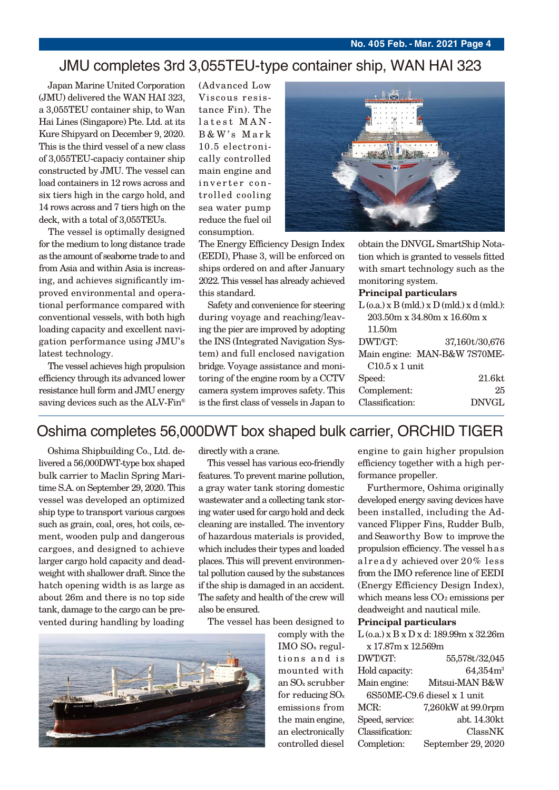## JMU completes 3rd 3,055TEU-type container ship, WAN HAI 323

Japan Marine United Corporation (JMU) delivered the WAN HAI 323, a 3,055TEU container ship, to Wan Hai Lines (Singapore) Pte. Ltd. at its Kure Shipyard on December 9, 2020. This is the third vessel of a new class of 3,055TEU-capaciy container ship constructed by JMU. The vessel can load containers in 12 rows across and six tiers high in the cargo hold, and 14 rows across and 7 tiers high on the deck, with a total of 3,055TEUs.

The vessel is optimally designed for the medium to long distance trade as the amount of seaborne trade to and from Asia and within Asia is increasing, and achieves signicantly improved environmental and operational performance compared with conventional vessels, with both high loading capacity and excellent navigation performance using JMU's latest technology.

The vessel achieves high propulsion efficiency through its advanced lower resistance hull form and JMU energy saving devices such as the ALV-Fin<sup>®</sup>

(Advanced Low Viscous resistance Fin). The latest MAN-B&W's Mark 10.5 electronically controlled main engine and inverter controlled cooling sea water pump reduce the fuel oil consumption.



The Energy Efficiency Design Index (EEDI), Phase 3, will be enforced on ships ordered on and after January 2022. This vessel has already achieved this standard.

Safety and convenience for steering during voyage and reaching/leaving the pier are improved by adopting the INS (Integrated Navigation System) and full enclosed navigation bridge. Voyage assistance and monitoring of the engine room by a CCTV camera system improves safety. This is the first class of vessels in Japan to

obtain the DNVGL SmartShip Notation which is granted to vessels fitted with smart technology such as the monitoring system.

#### **Principal particulars**

|                             | $L$ (o.a.) x B (mld.) x D (mld.) x d (mld.): |  |
|-----------------------------|----------------------------------------------|--|
| 203.50m x 34.80m x 16.60m x |                                              |  |
| 11.50 <sub>m</sub>          |                                              |  |
| DWT/GT:                     | 37,160t/30,676                               |  |
|                             | Main engine: MAN-B&W 7S70ME-                 |  |
| $C10.5 \times 1$ unit       |                                              |  |
| Speed:                      | $21.6$ kt                                    |  |
| Complement:                 | 25                                           |  |
| Classification:             | <b>DNVGL</b>                                 |  |
|                             |                                              |  |

## Oshima completes 56,000DWT box shaped bulk carrier, ORCHID TIGER

Oshima Shipbuilding Co., Ltd. delivered a 56,000DWT-type box shaped bulk carrier to Maclin Spring Maritime S.A. on September 29, 2020. This vessel was developed an optimized ship type to transport various cargoes such as grain, coal, ores, hot coils, cement, wooden pulp and dangerous cargoes, and designed to achieve larger cargo hold capacity and deadweight with shallower draft. Since the hatch opening width is as large as about 26m and there is no top side tank, damage to the cargo can be prevented during handling by loading

directly with a crane.

This vessel has various eco-friendly features. To prevent marine pollution, a gray water tank storing domestic wastewater and a collecting tank storing water used for cargo hold and deck cleaning are installed. The inventory of hazardous materials is provided, which includes their types and loaded places. This will prevent environmental pollution caused by the substances if the ship is damaged in an accident. The safety and health of the crew will also be ensured.

The vessel has been designed to



comply with the IMO SOx regultions and is mounted with an SOx scrubber for reducing SOx emissions from the main engine, an electronically controlled diesel

engine to gain higher propulsion efficiency together with a high performance propeller.

Furthermore, Oshima originally developed energy saving devices have been installed, including the Advanced Flipper Fins, Rudder Bulb, and Seaworthy Bow to improve the propulsion efficiency. The vessel h as already achieved over 20% less from the IMO reference line of EEDI (Energy Efficiency Design Index), which means less  $CO<sub>2</sub>$  emissions per deadweight and nautical mile.

#### **Principal particulars**

| $L$ (o.a.) x B x D x d: 189.99m x 32.26m |                    |  |
|------------------------------------------|--------------------|--|
| x 17.87m x 12.569m                       |                    |  |
| DWT/GT:                                  | 55,578t/32,045     |  |
| Hold capacity:                           | $64,354m^3$        |  |
| Main engine:                             | Mitsui-MAN B&W     |  |
| 6S50ME-C9.6 diesel x 1 unit              |                    |  |
| MCR:                                     | 7,260kW at 99.0rpm |  |
| Speed, service:                          | abt. 14.30kt       |  |
| Classification:                          | ClassNK            |  |
| Completion:                              | September 29, 2020 |  |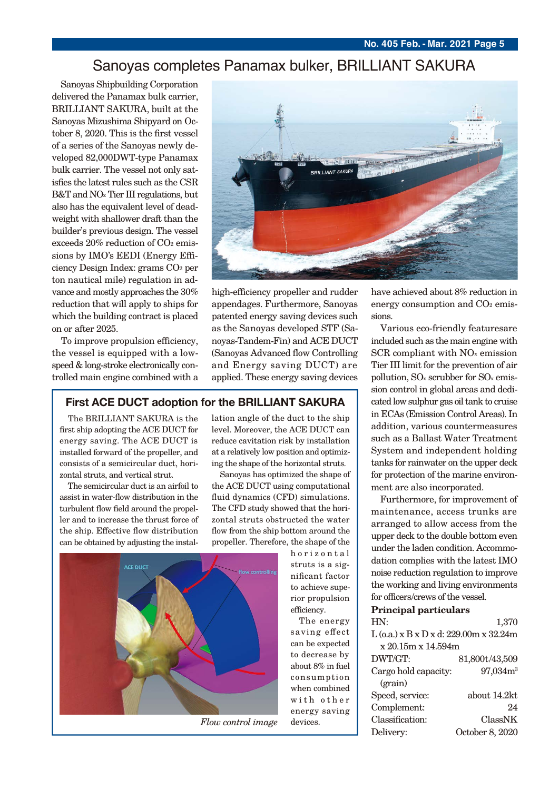## Sanoyas completes Panamax bulker, BRILLIANT SAKURA

Sanoyas Shipbuilding Corporation delivered the Panamax bulk carrier, BRILLIANT SAKURA, built at the Sanoyas Mizushima Shipyard on October 8, 2020. This is the first vessel of a series of the Sanoyas newly developed 82,000DWT-type Panamax bulk carrier. The vessel not only satisfies the latest rules such as the CSR B&T and NOx Tier III regulations, but also has the equivalent level of deadweight with shallower draft than the builder's previous design. The vessel exceeds 20% reduction of CO<sub>2</sub> emissions by IMO's EEDI (Energy Efficiency Design Index: grams CO2 per ton nautical mile) regulation in advance and mostly approaches the 30% reduction that will apply to ships for which the building contract is placed on or after 2025.

To improve propulsion efficiency, the vessel is equipped with a lowspeed & long-stroke electronically controlled main engine combined with a



high-efficiency propeller and rudder appendages. Furthermore, Sanoyas patented energy saving devices such as the Sanoyas developed STF (Sanoyas-Tandem-Fin) and ACE DUCT (Sanoyas Advanced flow Controlling) and Energy saving DUCT) are applied. These energy saving devices

#### **First ACE DUCT adoption for the BRILLIANT SAKURA**

The BRILLIANT SAKURA is the first ship adopting the ACE DUCT for energy saving. The ACE DUCT is installed forward of the propeller, and consists of a semicircular duct, horizontal struts, and vertical strut.

The semicircular duct is an airfoil to assist in water-flow distribution in the turbulent flow field around the propeller and to increase the thrust force of the ship. Effective flow distribution can be obtained by adjusting the installation angle of the duct to the ship level. Moreover, the ACE DUCT can reduce cavitation risk by installation at a relatively low position and optimizing the shape of the horizontal struts.

Sanoyas has optimized the shape of the ACE DUCT using computational fluid dynamics (CFD) simulations. The CFD study showed that the horizontal struts obstructed the water flow from the ship bottom around the propeller. Therefore, the shape of the

horizontal struts is a significant factor to achieve superior propulsion efficiency.

The energy saving effect can be expected to decrease by about 8% in fuel consumption when combined with other energy saving devices.

have achieved about 8% reduction in energy consumption and  $CO<sub>2</sub>$  emissions.

Various eco-friendly featuresare included such as the main engine with SCR compliant with NOx emission Tier III limit for the prevention of air pollution, SOx scrubber for SOx emission control in global areas and dedicated low sulphur gas oil tank to cruise in ECAs (Emission Control Areas). In addition, various countermeasures such as a Ballast Water Treatment System and independent holding tanks for rainwater on the upper deck for protection of the marine environment are also incorporated.

Furthermore, for improvement of maintenance, access trunks are arranged to allow access from the upper deck to the double bottom even under the laden condition. Accommodation complies with the latest IMO noise reduction regulation to improve the working and living environments for officers/crews of the vessel.

### **Principal particulars**

| HN:                                      | 1,370                |  |
|------------------------------------------|----------------------|--|
| $L$ (0.a.) x B x D x d: 229.00m x 32.24m |                      |  |
| x 20.15m x 14.594m                       |                      |  |
| DWT/GT:                                  | 81,800t/43,509       |  |
| Cargo hold capacity:                     | 97,034m <sup>3</sup> |  |
| (grain)                                  |                      |  |
| Speed, service:                          | about 14.2kt         |  |
| Complement:                              | 24                   |  |
| Classification:                          | ClassNK              |  |
| Delivery:                                | October 8, 2020      |  |